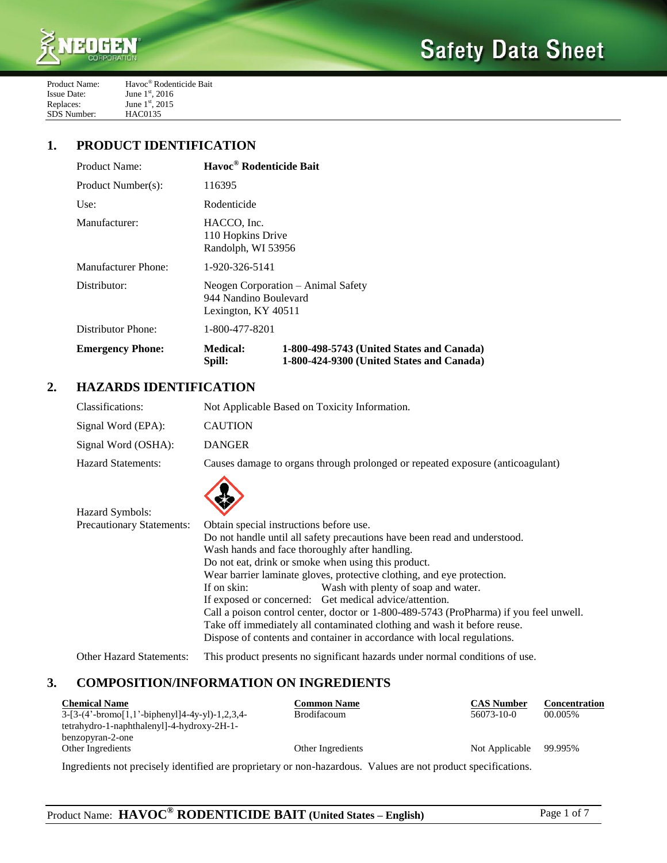

| Product Name:      | Havoc <sup>®</sup> Rodenticide Bait |
|--------------------|-------------------------------------|
| <b>Issue Date:</b> | June $1^{\rm st}$ , 2016            |
| Replaces:          | June $1^{\rm st}$ , 2015            |
| SDS Number:        | <b>HAC0135</b>                      |

## **1. PRODUCT IDENTIFICATION**

| Product Name:           | Havoc® Rodenticide Bait                                                            |                                                                                        |  |
|-------------------------|------------------------------------------------------------------------------------|----------------------------------------------------------------------------------------|--|
| Product Number(s):      | 116395                                                                             |                                                                                        |  |
| Use:                    | Rodenticide                                                                        |                                                                                        |  |
| Manufacturer:           | HACCO, Inc.<br>110 Hopkins Drive<br>Randolph, WI 53956                             |                                                                                        |  |
| Manufacturer Phone:     | 1-920-326-5141                                                                     |                                                                                        |  |
| Distributor:            | Neogen Corporation – Animal Safety<br>944 Nandino Boulevard<br>Lexington, KY 40511 |                                                                                        |  |
| Distributor Phone:      | 1-800-477-8201                                                                     |                                                                                        |  |
| <b>Emergency Phone:</b> | <b>Medical:</b><br>Spill:                                                          | 1-800-498-5743 (United States and Canada)<br>1-800-424-9300 (United States and Canada) |  |

# **2. HAZARDS IDENTIFICATION**

Hazard Symbols:

| Classifications:          | Not Applicable Based on Toxicity Information.                                  |
|---------------------------|--------------------------------------------------------------------------------|
| Signal Word (EPA):        | <b>CAUTION</b>                                                                 |
| Signal Word (OSHA):       | <b>DANGER</b>                                                                  |
| <b>Hazard Statements:</b> | Causes damage to organs through prolonged or repeated exposure (anticoagulant) |
|                           |                                                                                |



| <b>Precautionary Statements:</b> | Obtain special instructions before use.                                   |                                                                                        |
|----------------------------------|---------------------------------------------------------------------------|----------------------------------------------------------------------------------------|
|                                  | Do not handle until all safety precautions have been read and understood. |                                                                                        |
|                                  | Wash hands and face thoroughly after handling.                            |                                                                                        |
|                                  |                                                                           | Do not eat, drink or smoke when using this product.                                    |
|                                  |                                                                           | Wear barrier laminate gloves, protective clothing, and eye protection.                 |
|                                  | If on skin:                                                               | Wash with plenty of soap and water.                                                    |
|                                  |                                                                           | If exposed or concerned: Get medical advice/attention.                                 |
|                                  |                                                                           | Call a poison control center, doctor or 1-800-489-5743 (ProPharma) if you feel unwell. |
|                                  | Take off immediately all contaminated clothing and wash it before reuse.  |                                                                                        |
|                                  |                                                                           | Dispose of contents and container in accordance with local regulations.                |
|                                  |                                                                           |                                                                                        |

Other Hazard Statements: This product presents no significant hazards under normal conditions of use.

## **3. COMPOSITION/INFORMATION ON INGREDIENTS**

| <b>Chemical Name</b>                             | <b>Common Name</b> | <b>CAS Number</b> | <b>Concentration</b> |
|--------------------------------------------------|--------------------|-------------------|----------------------|
| $3-[3-(4'-bromo[1,1'-bipheny1]4-4y-y1)-1,2,3,4-$ | <b>Brodifacoum</b> | 56073-10-0        | 00.005%              |
| tetrahydro-1-naphthalenyl]-4-hydroxy-2H-1-       |                    |                   |                      |
| benzopyran-2-one                                 |                    |                   |                      |
| Other Ingredients                                | Other Ingredients  | Not Applicable    | 99.995%              |
|                                                  |                    |                   |                      |

Ingredients not precisely identified are proprietary or non-hazardous. Values are not product specifications.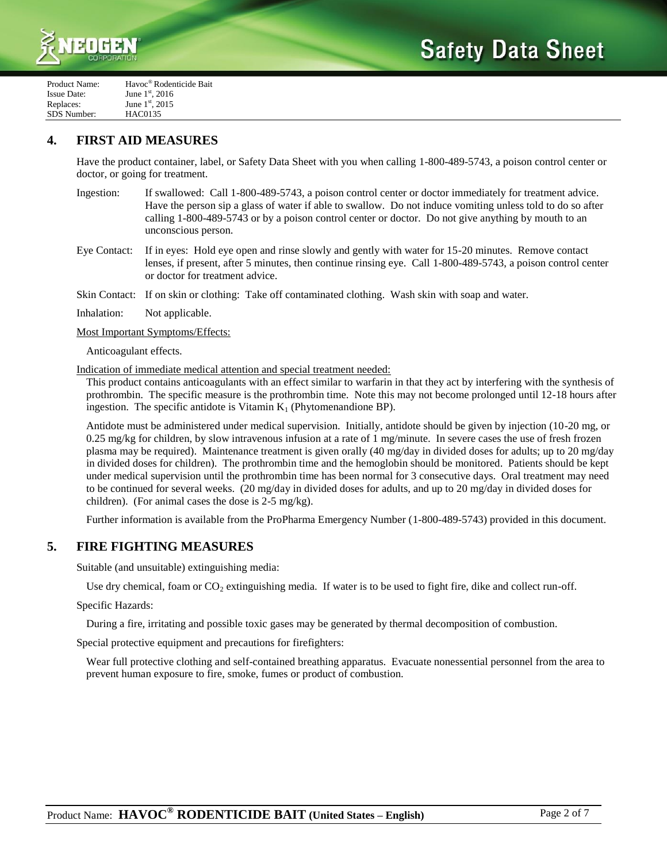



| Product Name: | Havoc <sup>®</sup> Rodenticide Bait |
|---------------|-------------------------------------|
| Issue Date:   | June $1^{\rm st}$ , 2016            |
| Replaces:     | June $1^{st}$ , 2015                |
| SDS Number:   | <b>HAC0135</b>                      |

## **4. FIRST AID MEASURES**

Have the product container, label, or Safety Data Sheet with you when calling 1-800-489-5743, a poison control center or doctor, or going for treatment.

- Ingestion: If swallowed: Call 1-800-489-5743, a poison control center or doctor immediately for treatment advice. Have the person sip a glass of water if able to swallow. Do not induce vomiting unless told to do so after calling 1-800-489-5743 or by a poison control center or doctor. Do not give anything by mouth to an unconscious person.
- Eye Contact: If in eyes: Hold eye open and rinse slowly and gently with water for 15-20 minutes. Remove contact lenses, if present, after 5 minutes, then continue rinsing eye. Call 1-800-489-5743, a poison control center or doctor for treatment advice.

Skin Contact: If on skin or clothing: Take off contaminated clothing. Wash skin with soap and water.

Inhalation: Not applicable.

Most Important Symptoms/Effects:

Anticoagulant effects.

Indication of immediate medical attention and special treatment needed:

This product contains anticoagulants with an effect similar to warfarin in that they act by interfering with the synthesis of prothrombin. The specific measure is the prothrombin time. Note this may not become prolonged until 12-18 hours after ingestion. The specific antidote is Vitamin  $K_1$  (Phytomenandione BP).

Antidote must be administered under medical supervision. Initially, antidote should be given by injection (10-20 mg, or  $0.25$  mg/kg for children, by slow intravenous infusion at a rate of 1 mg/minute. In severe cases the use of fresh frozen plasma may be required). Maintenance treatment is given orally (40 mg/day in divided doses for adults; up to 20 mg/day in divided doses for children). The prothrombin time and the hemoglobin should be monitored. Patients should be kept under medical supervision until the prothrombin time has been normal for 3 consecutive days. Oral treatment may need to be continued for several weeks. (20 mg/day in divided doses for adults, and up to 20 mg/day in divided doses for children). (For animal cases the dose is 2-5 mg/kg).

Further information is available from the ProPharma Emergency Number (1-800-489-5743) provided in this document.

## **5. FIRE FIGHTING MEASURES**

Suitable (and unsuitable) extinguishing media:

Use dry chemical, foam or  $CO_2$  extinguishing media. If water is to be used to fight fire, dike and collect run-off.

Specific Hazards:

During a fire, irritating and possible toxic gases may be generated by thermal decomposition of combustion.

Special protective equipment and precautions for firefighters:

Wear full protective clothing and self-contained breathing apparatus. Evacuate nonessential personnel from the area to prevent human exposure to fire, smoke, fumes or product of combustion.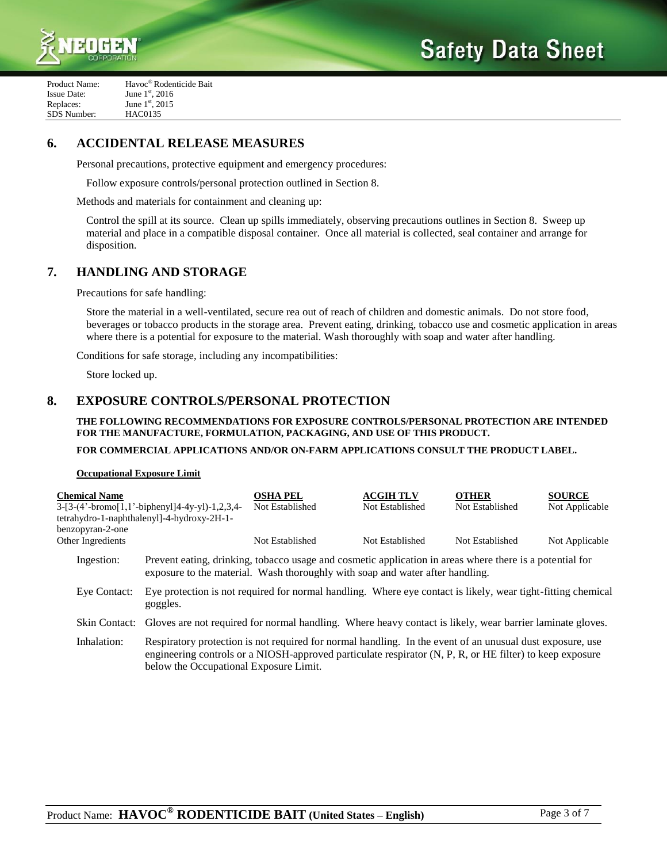



| Product Name:      | Havoc <sup>®</sup> Rodenticide Bait |
|--------------------|-------------------------------------|
| <b>Issue Date:</b> | June $1^{\rm st}$ , 2016            |
| Replaces:          | June 1st, 2015                      |
| SDS Number:        | <b>HAC0135</b>                      |
|                    |                                     |

# **6. ACCIDENTAL RELEASE MEASURES**

Personal precautions, protective equipment and emergency procedures:

Follow exposure controls/personal protection outlined in Section 8.

Methods and materials for containment and cleaning up:

Control the spill at its source. Clean up spills immediately, observing precautions outlines in Section 8. Sweep up material and place in a compatible disposal container. Once all material is collected, seal container and arrange for disposition.

## **7. HANDLING AND STORAGE**

Precautions for safe handling:

Store the material in a well-ventilated, secure rea out of reach of children and domestic animals. Do not store food, beverages or tobacco products in the storage area. Prevent eating, drinking, tobacco use and cosmetic application in areas where there is a potential for exposure to the material. Wash thoroughly with soap and water after handling.

Conditions for safe storage, including any incompatibilities:

Store locked up.

## **8. EXPOSURE CONTROLS/PERSONAL PROTECTION**

**THE FOLLOWING RECOMMENDATIONS FOR EXPOSURE CONTROLS/PERSONAL PROTECTION ARE INTENDED FOR THE MANUFACTURE, FORMULATION, PACKAGING, AND USE OF THIS PRODUCT.**

### **FOR COMMERCIAL APPLICATIONS AND/OR ON-FARM APPLICATIONS CONSULT THE PRODUCT LABEL.**

### **Occupational Exposure Limit**

| <b>Chemical Name</b> |                                                                                                                         | <b>OSHA PEL</b>                                                                                                                                                                                                       | <b>ACGIH TLV</b> | <b>OTHER</b>    | <b>SOURCE</b>  |
|----------------------|-------------------------------------------------------------------------------------------------------------------------|-----------------------------------------------------------------------------------------------------------------------------------------------------------------------------------------------------------------------|------------------|-----------------|----------------|
|                      | 3-[3-(4'-bromo[1,1'-biphenyl]4-4y-yl)-1,2,3,4-<br>tetrahydro-1-naphthalenyl]-4-hydroxy-2H-1-                            | Not Established                                                                                                                                                                                                       | Not Established  | Not Established | Not Applicable |
| benzopyran-2-one     |                                                                                                                         |                                                                                                                                                                                                                       |                  |                 |                |
| Other Ingredients    |                                                                                                                         | Not Established                                                                                                                                                                                                       | Not Established  | Not Established | Not Applicable |
| Ingestion:           |                                                                                                                         | Prevent eating, drinking, tobacco usage and cosmetic application in areas where there is a potential for<br>exposure to the material. Wash thoroughly with soap and water after handling.                             |                  |                 |                |
| Eye Contact:         | goggles.                                                                                                                | Eye protection is not required for normal handling. Where eye contact is likely, wear tight-fitting chemical                                                                                                          |                  |                 |                |
|                      | Skin Contact: Gloves are not required for normal handling. Where heavy contact is likely, wear barrier laminate gloves. |                                                                                                                                                                                                                       |                  |                 |                |
| Inhalation:          | below the Occupational Exposure Limit.                                                                                  | Respiratory protection is not required for normal handling. In the event of an unusual dust exposure, use<br>engineering controls or a NIOSH-approved particulate respirator (N, P, R, or HE filter) to keep exposure |                  |                 |                |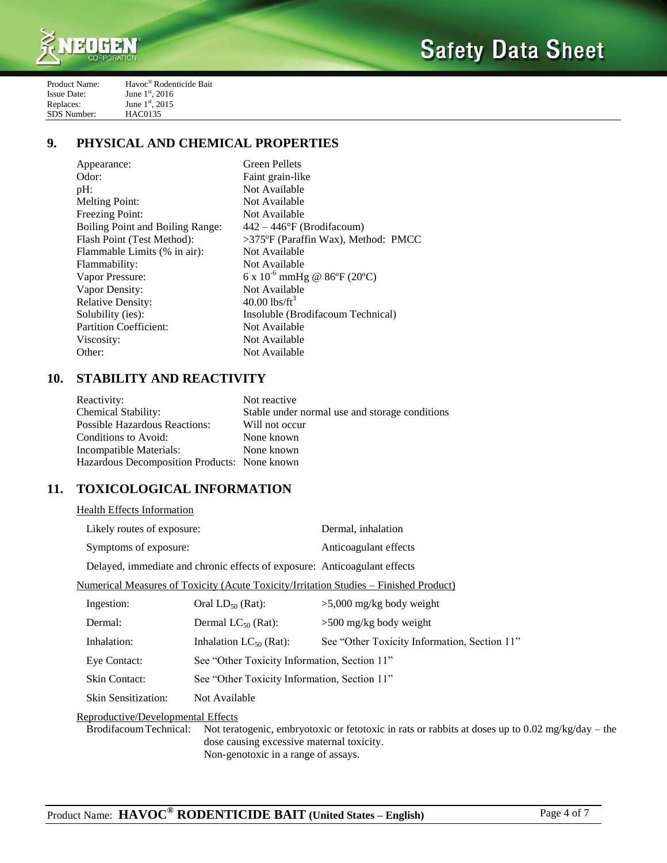

| Product Name:      | Havoc <sup>®</sup> Rodenticide Bait |
|--------------------|-------------------------------------|
| <b>Issue Date:</b> | June $1^{\rm st}$ , 2016            |
| Replaces:          | June 1st, 2015                      |
| SDS Number:        | <b>HAC0135</b>                      |

# **9. PHYSICAL AND CHEMICAL PROPERTIES**

| Appearance:                             | <b>Green Pellets</b>                   |
|-----------------------------------------|----------------------------------------|
| Odor:                                   | Faint grain-like                       |
| pH:                                     | Not Available                          |
| <b>Melting Point:</b>                   | Not Available                          |
| <b>Freezing Point:</b>                  | Not Available                          |
| <b>Boiling Point and Boiling Range:</b> | $442 - 446$ °F (Brodifacoum)           |
| Flash Point (Test Method):              | $>375$ °F (Paraffin Wax), Method: PMCC |
| Flammable Limits (% in air):            | Not Available                          |
| Flammability:                           | Not Available                          |
| Vapor Pressure:                         | 6 x $10^{-6}$ mmHg @ 86°F (20°C)       |
| Vapor Density:                          | Not Available                          |
| <b>Relative Density:</b>                | $40.00$ lbs/ft <sup>3</sup>            |
| Solubility (ies):                       | Insoluble (Brodifacoum Technical)      |
| <b>Partition Coefficient:</b>           | Not Available                          |
| Viscosity:                              | Not Available                          |
| Other:                                  | Not Available                          |
|                                         |                                        |

# **10. STABILITY AND REACTIVITY**

| Reactivity:                                  | Not reactive                                   |
|----------------------------------------------|------------------------------------------------|
| <b>Chemical Stability:</b>                   | Stable under normal use and storage conditions |
| <b>Possible Hazardous Reactions:</b>         | Will not occur                                 |
| Conditions to Avoid:                         | None known                                     |
| Incompatible Materials:                      | None known                                     |
| Hazardous Decomposition Products: None known |                                                |

# **11. TOXICOLOGICAL INFORMATION**

| <b>Health Effects Information</b>  |                                                                           |                                                                                       |  |
|------------------------------------|---------------------------------------------------------------------------|---------------------------------------------------------------------------------------|--|
| Likely routes of exposure:         |                                                                           | Dermal, inhalation                                                                    |  |
| Symptoms of exposure:              |                                                                           | Anticoagulant effects                                                                 |  |
|                                    | Delayed, immediate and chronic effects of exposure: Anticoagulant effects |                                                                                       |  |
|                                    |                                                                           | Numerical Measures of Toxicity (Acute Toxicity/Irritation Studies – Finished Product) |  |
| Ingestion:                         | Oral $LD_{50}$ (Rat):                                                     | $>5,000$ mg/kg body weight                                                            |  |
| Dermal:                            | Dermal $LC_{50}$ (Rat):                                                   | $>500$ mg/kg body weight                                                              |  |
| Inhalation:                        | Inhalation $LC_{50}$ (Rat):                                               | See "Other Toxicity Information, Section 11"                                          |  |
| Eye Contact:                       | See "Other Toxicity Information, Section 11"                              |                                                                                       |  |
| <b>Skin Contact:</b>               | See "Other Toxicity Information, Section 11"                              |                                                                                       |  |
| <b>Skin Sensitization:</b>         | Not Available                                                             |                                                                                       |  |
| Reproductive/Developmental Effects |                                                                           |                                                                                       |  |

BrodifacoumTechnical: Not teratogenic, embryotoxic or fetotoxic in rats or rabbits at doses up to 0.02 mg/kg/day – the dose causing excessive maternal toxicity. Non-genotoxic in a range of assays.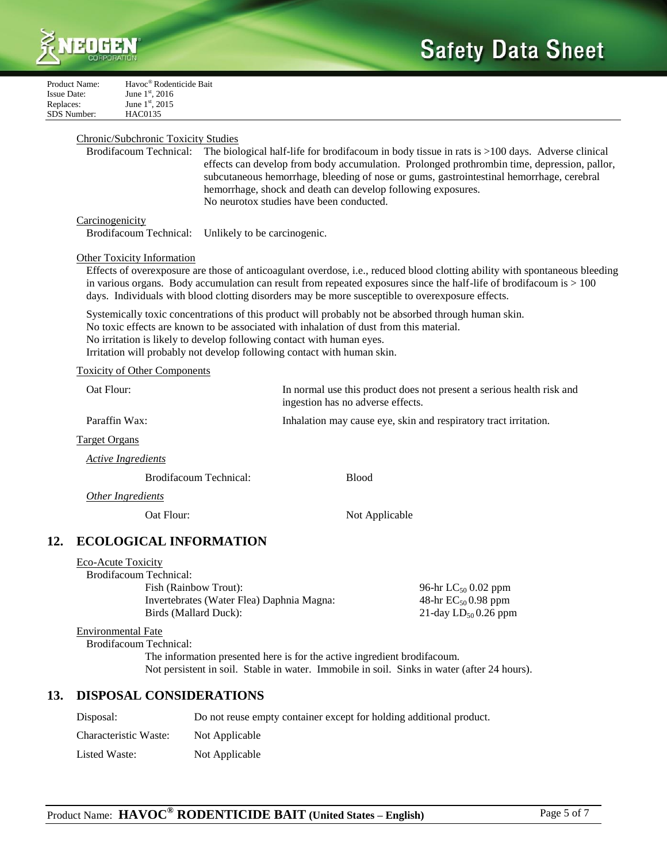

| Product Name:      | Havoc <sup>®</sup> Rodenticide Bait |
|--------------------|-------------------------------------|
| <b>Issue Date:</b> | June $1^{\rm st}$ , 2016            |
| Replaces:          | June 1st, 2015                      |
| SDS Number:        | <b>HAC0135</b>                      |

### Chronic/Subchronic Toxicity Studies

Brodifacoum Technical: The biological half-life for brodifacoum in body tissue in rats is >100 days. Adverse clinical effects can develop from body accumulation. Prolonged prothrombin time, depression, pallor, subcutaneous hemorrhage, bleeding of nose or gums, gastrointestinal hemorrhage, cerebral hemorrhage, shock and death can develop following exposures. No neurotox studies have been conducted.

### **Carcinogenicity**

Brodifacoum Technical: Unlikely to be carcinogenic.

### Other Toxicity Information

Effects of overexposure are those of anticoagulant overdose, i.e., reduced blood clotting ability with spontaneous bleeding in various organs. Body accumulation can result from repeated exposures since the half-life of brodifacoum is > 100 days. Individuals with blood clotting disorders may be more susceptible to overexposure effects.

Systemically toxic concentrations of this product will probably not be absorbed through human skin. No toxic effects are known to be associated with inhalation of dust from this material. No irritation is likely to develop following contact with human eyes. Irritation will probably not develop following contact with human skin.

#### Toxicity of Other Components

| Oat Flour:             | In normal use this product does not present a serious health risk and<br>ingestion has no adverse effects. |  |
|------------------------|------------------------------------------------------------------------------------------------------------|--|
| Paraffin Wax:          | Inhalation may cause eye, skin and respiratory tract irritation.                                           |  |
| <b>Target Organs</b>   |                                                                                                            |  |
| Active Ingredients     |                                                                                                            |  |
| Brodifacoum Technical: | <b>Blood</b>                                                                                               |  |
| Other Ingredients      |                                                                                                            |  |
| Oat Flour:             | Not Applicable                                                                                             |  |
|                        |                                                                                                            |  |

## **12. ECOLOGICAL INFORMATION**

| Eco-Acute Toxicity |  |
|--------------------|--|
|                    |  |

| Brodifacoum Technical:                    |                                 |
|-------------------------------------------|---------------------------------|
| Fish (Rainbow Trout):                     | 96-hr LC <sub>50</sub> 0.02 ppm |
| Invertebrates (Water Flea) Daphnia Magna: | 48-hr $EC_{50}$ 0.98 ppm        |
| Birds (Mallard Duck):                     | 21-day $LD_{50}$ 0.26 ppm       |
|                                           |                                 |

#### Environmental Fate

Brodifacoum Technical:

The information presented here is for the active ingredient brodifacoum. Not persistent in soil. Stable in water. Immobile in soil. Sinks in water (after 24 hours).

## **13. DISPOSAL CONSIDERATIONS**

| Disposal:             | Do not reuse empty container except for holding additional product. |
|-----------------------|---------------------------------------------------------------------|
| Characteristic Waste: | Not Applicable                                                      |
| Listed Waste:         | Not Applicable                                                      |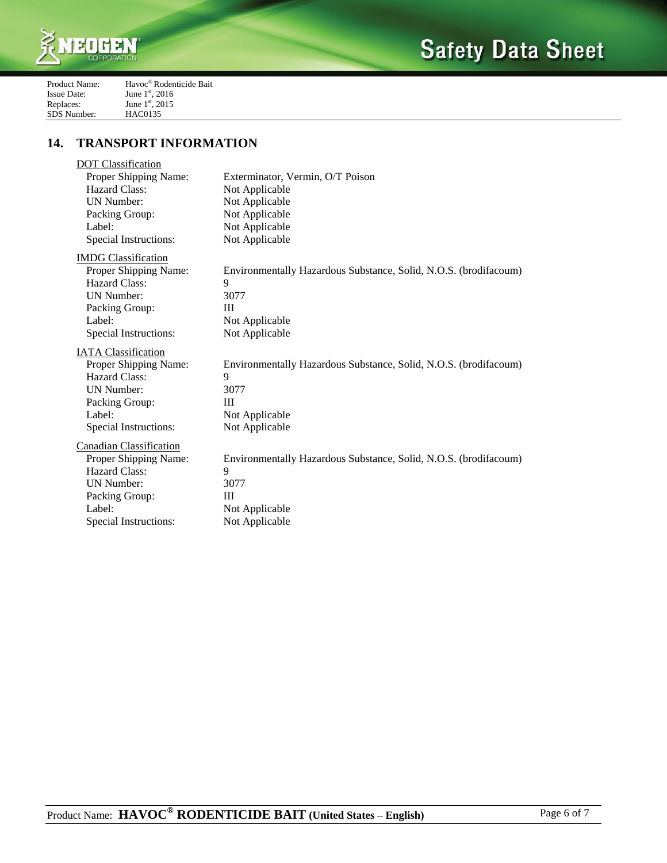

| Product Name:      | Havoc <sup>®</sup> Rodenticide Bait |
|--------------------|-------------------------------------|
| <b>Issue Date:</b> | June $1^{\rm st}$ , 2016            |
| Replaces:          | June $1^{\rm st}$ , 2015            |
| <b>SDS</b> Number: | <b>HAC0135</b>                      |

# **14. TRANSPORT INFORMATION**

| <b>DOT</b> Classification      |                                                                  |
|--------------------------------|------------------------------------------------------------------|
| Proper Shipping Name:          | Exterminator, Vermin, O/T Poison                                 |
| <b>Hazard Class:</b>           | Not Applicable                                                   |
| <b>UN Number:</b>              | Not Applicable                                                   |
| Packing Group:                 | Not Applicable                                                   |
| Label:                         | Not Applicable                                                   |
| Special Instructions:          | Not Applicable                                                   |
| <b>IMDG</b> Classification     |                                                                  |
| Proper Shipping Name:          | Environmentally Hazardous Substance, Solid, N.O.S. (brodifacoum) |
| Hazard Class:                  | 9                                                                |
| <b>UN Number:</b>              | 3077                                                             |
| Packing Group:                 | III                                                              |
| Label:                         | Not Applicable                                                   |
| Special Instructions:          | Not Applicable                                                   |
| <b>IATA Classification</b>     |                                                                  |
| Proper Shipping Name:          | Environmentally Hazardous Substance, Solid, N.O.S. (brodifacoum) |
| Hazard Class:                  | 9                                                                |
| <b>UN Number:</b>              | 3077                                                             |
| Packing Group:                 | $\mathbf{H}$                                                     |
| Label:                         | Not Applicable                                                   |
| Special Instructions:          | Not Applicable                                                   |
| <b>Canadian Classification</b> |                                                                  |
| Proper Shipping Name:          | Environmentally Hazardous Substance, Solid, N.O.S. (brodifacoum) |
| Hazard Class:                  | 9                                                                |
| <b>UN Number:</b>              | 3077                                                             |
| Packing Group:                 | Ш                                                                |
| Label:                         | Not Applicable                                                   |
| Special Instructions:          | Not Applicable                                                   |
|                                |                                                                  |